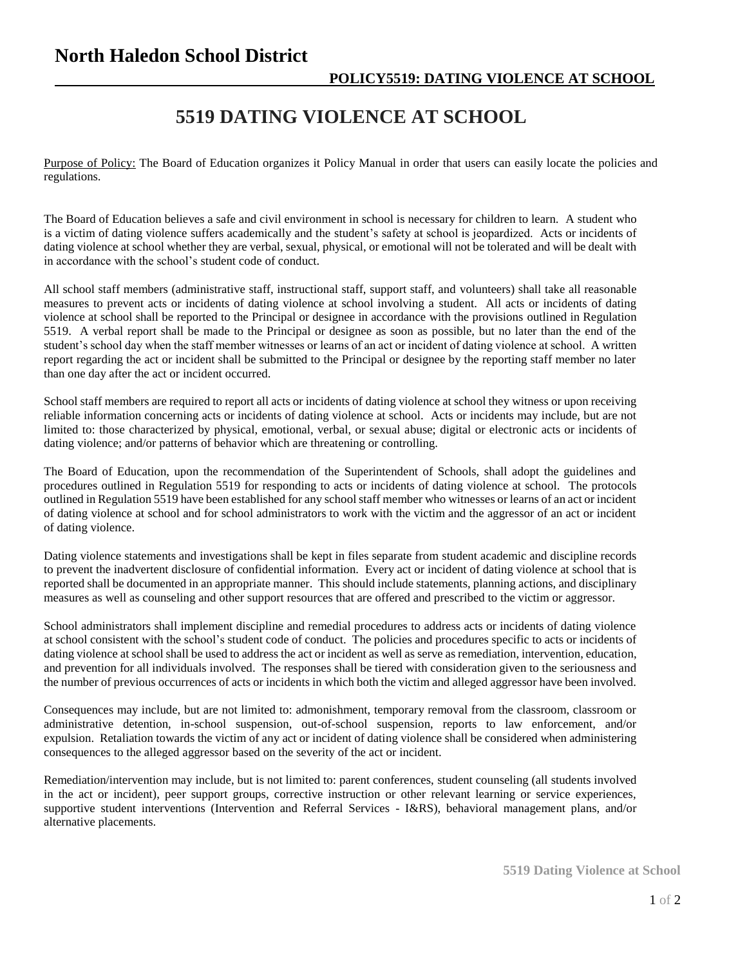## **North Haledon School District**

## **5519 DATING VIOLENCE AT SCHOOL**

Purpose of Policy: The Board of Education organizes it Policy Manual in order that users can easily locate the policies and regulations.

The Board of Education believes a safe and civil environment in school is necessary for children to learn. A student who is a victim of dating violence suffers academically and the student's safety at school is jeopardized. Acts or incidents of dating violence at school whether they are verbal, sexual, physical, or emotional will not be tolerated and will be dealt with in accordance with the school's student code of conduct.

All school staff members (administrative staff, instructional staff, support staff, and volunteers) shall take all reasonable measures to prevent acts or incidents of dating violence at school involving a student. All acts or incidents of dating violence at school shall be reported to the Principal or designee in accordance with the provisions outlined in Regulation 5519. A verbal report shall be made to the Principal or designee as soon as possible, but no later than the end of the student's school day when the staff member witnesses or learns of an act or incident of dating violence at school. A written report regarding the act or incident shall be submitted to the Principal or designee by the reporting staff member no later than one day after the act or incident occurred.

School staff members are required to report all acts or incidents of dating violence at school they witness or upon receiving reliable information concerning acts or incidents of dating violence at school. Acts or incidents may include, but are not limited to: those characterized by physical, emotional, verbal, or sexual abuse; digital or electronic acts or incidents of dating violence; and/or patterns of behavior which are threatening or controlling.

The Board of Education, upon the recommendation of the Superintendent of Schools, shall adopt the guidelines and procedures outlined in Regulation 5519 for responding to acts or incidents of dating violence at school. The protocols outlined in Regulation 5519 have been established for any school staff member who witnesses or learns of an act or incident of dating violence at school and for school administrators to work with the victim and the aggressor of an act or incident of dating violence.

Dating violence statements and investigations shall be kept in files separate from student academic and discipline records to prevent the inadvertent disclosure of confidential information. Every act or incident of dating violence at school that is reported shall be documented in an appropriate manner. This should include statements, planning actions, and disciplinary measures as well as counseling and other support resources that are offered and prescribed to the victim or aggressor.

School administrators shall implement discipline and remedial procedures to address acts or incidents of dating violence at school consistent with the school's student code of conduct. The policies and procedures specific to acts or incidents of dating violence at school shall be used to address the act or incident as well as serve as remediation, intervention, education, and prevention for all individuals involved. The responses shall be tiered with consideration given to the seriousness and the number of previous occurrences of acts or incidents in which both the victim and alleged aggressor have been involved.

Consequences may include, but are not limited to: admonishment, temporary removal from the classroom, classroom or administrative detention, in-school suspension, out-of-school suspension, reports to law enforcement, and/or expulsion. Retaliation towards the victim of any act or incident of dating violence shall be considered when administering consequences to the alleged aggressor based on the severity of the act or incident.

Remediation/intervention may include, but is not limited to: parent conferences, student counseling (all students involved in the act or incident), peer support groups, corrective instruction or other relevant learning or service experiences, supportive student interventions (Intervention and Referral Services - I&RS), behavioral management plans, and/or alternative placements.